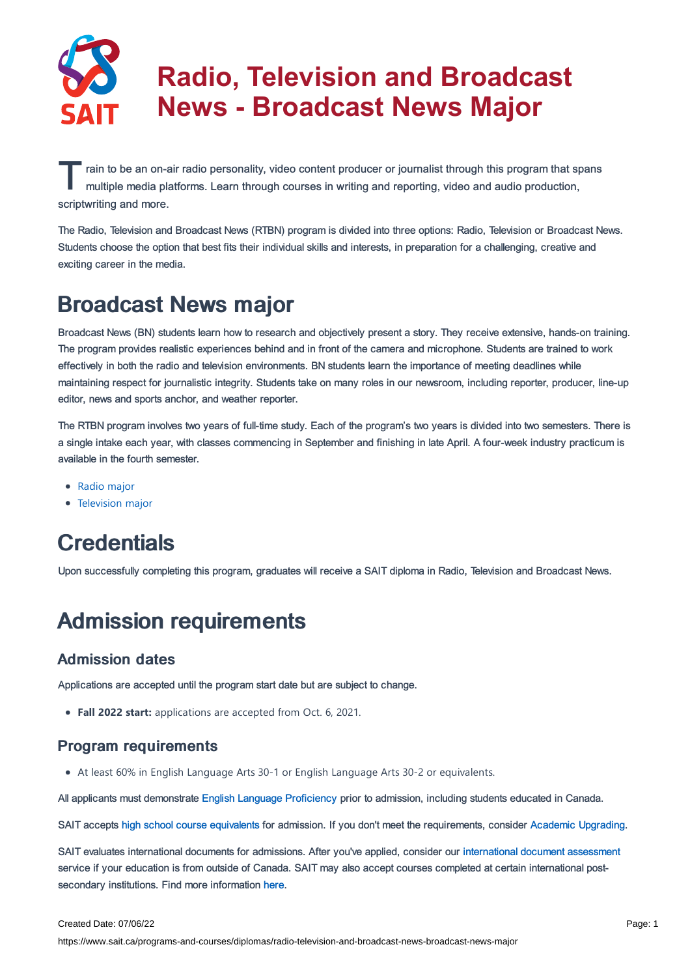

T ain to be an on-air radio personality, video content producer or journalist through this program that sp<br>multiple media platforms. Learn through courses in writing and reporting, video and audio production, rain to be an on-air radio personality, video content producer or journalist through this program that spans scriptwriting and more.

The Radio, Television and Broadcast News (RTBN) program is divided into three options: Radio, Television or Broadcast News. Students choose the option that best fits their individual skills and interests, in preparation for a challenging, creative and exciting career in the media.

# Broadcast News major

Broadcast News (BN) students learn how to research and objectively present a story. They receive extensive, hands-on training. The program provides realistic experiences behind and in front of the camera and microphone. Students are trained to work effectively in both the radio and television environments. BN students learn the importance of meeting deadlines while maintaining respect for journalistic integrity. Students take on many roles in our newsroom, including reporter, producer, line-up editor, news and sports anchor, and weather reporter.

The RTBN program involves two years of full-time study. Each of the program's two years is divided into two semesters. There is a single intake each year, with classes commencing in September and finishing in late April. A four-week industry practicum is available in the fourth semester.

- Radio [major](https://www.sait.ca/programs-and-courses/diplomas/radio-television-and-broadcast-news-radio-major)
- [Television](https://www.sait.ca/programs-and-courses/diplomas/radio-television-and-broadcast-news-television-major) major

# **Credentials**

Upon successfully completing this program, graduates will receive a SAIT diploma in Radio, Television and Broadcast News.

# Admission requirements

#### Admission dates

Applications are accepted until the program start date but are subject to change.

**Fall 2022 start:** applications are accepted from Oct. 6, 2021.

#### Program requirements

At least 60% in English Language Arts 30-1 or English Language Arts 30-2 or equivalents.

All applicants must demonstrate English Language [Proficiency](https://www.sait.ca/admissions/before-you-apply/english-proficiency) prior to admission, including students educated in Canada.

SAIT accepts high school course [equivalents](https://www.sait.ca/admissions/before-you-apply/high-school-course-equivalencies) for admission. If you don't meet the requirements, consider Academic [Upgrading.](https://www.sait.ca/programs-and-courses/academic-upgrading)

SAIT evaluates international documents for admissions. After you've applied, consider our [international](https://www.sait.ca/admissions/after-you-apply/international-document-assessment) document assessment service if your education is from outside of Canada. SAIT may also accept courses completed at certain international postsecondary institutions. Find more information [here.](https://www.sait.ca/admissions/after-you-apply/international-institution-academic-partnerships)

#### Created Date: 07/06/22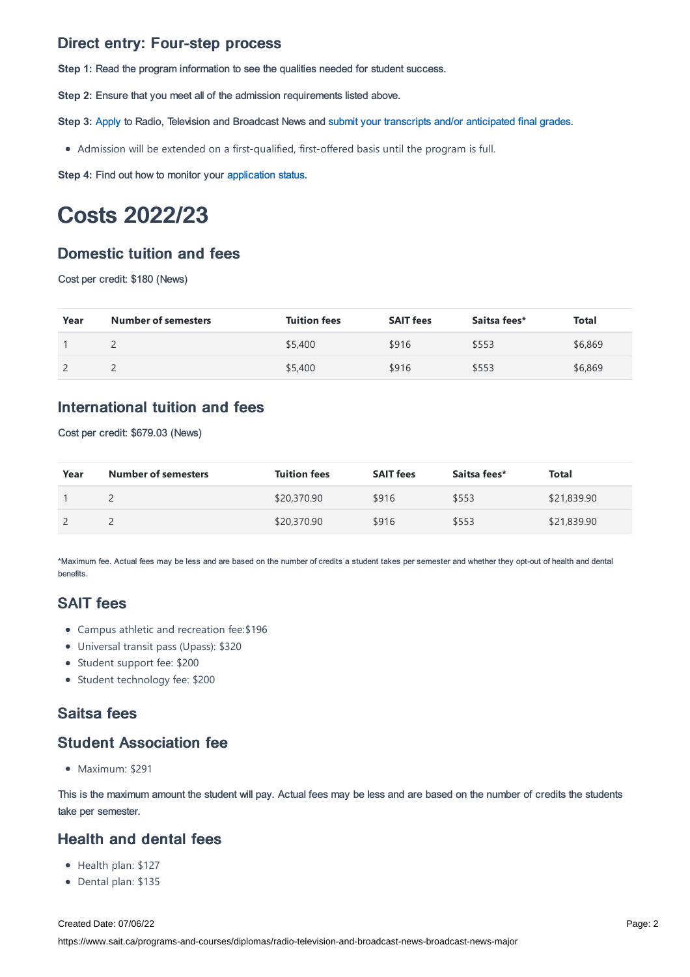### Direct entry: Four-step process

**Step 1:** Read the program information to see the qualities needed for student success.

**Step 2:** Ensure that you meet all of the admission requirements listed above.

**Step 3:** [Apply](https://www.sait.ca/admissions/apply) to Radio, Television and Broadcast News and submit your transcripts and/or [anticipated](https://www.sait.ca/admissions/after-you-apply/transcripts-and-supporting-documents) final grades.

Admission will be extended on a first-qualified, first-offered basis until the program is full.

**Step 4: Find out how to monitor your [application](https://www.sait.ca/admissions/after-you-apply/tracking-your-application) status.** 

# Costs 2022/23

### Domestic tuition and fees

Cost per credit: \$180 (News)

| Year | <b>Number of semesters</b> | <b>Tuition fees</b> | <b>SAIT fees</b> | Saitsa fees* | <b>Total</b> |
|------|----------------------------|---------------------|------------------|--------------|--------------|
|      |                            | \$5,400             | \$916            | \$553        | \$6,869      |
|      | <u>_</u>                   | \$5,400             | \$916            | \$553        | \$6,869      |

### International tuition and fees

Cost per credit: \$679.03 (News)

| Year | <b>Number of semesters</b> | <b>Tuition fees</b> | <b>SAIT fees</b> | Saitsa fees* | Total       |
|------|----------------------------|---------------------|------------------|--------------|-------------|
|      |                            | \$20,370.90         | \$916            | \$553        | \$21,839.90 |
|      |                            | \$20,370.90         | \$916            | \$553        | \$21,839.90 |

\*Maximum fee. Actual fees may be less and are based on the number of credits a student takes per semester and whether they opt-out of health and dental benefits.

## SAIT fees

- Campus athletic and recreation fee:\$196
- Universal transit pass (Upass): \$320
- Student support fee: \$200
- Student technology fee: \$200

#### Saitsa fees

### Student Association fee

• Maximum: \$291

This is the maximum amount the student will pay. Actual fees may be less and are based on the number of credits the students take per semester.

#### Health and dental fees

- Health plan: \$127
- Dental plan: \$135

Created Date: 07/06/22